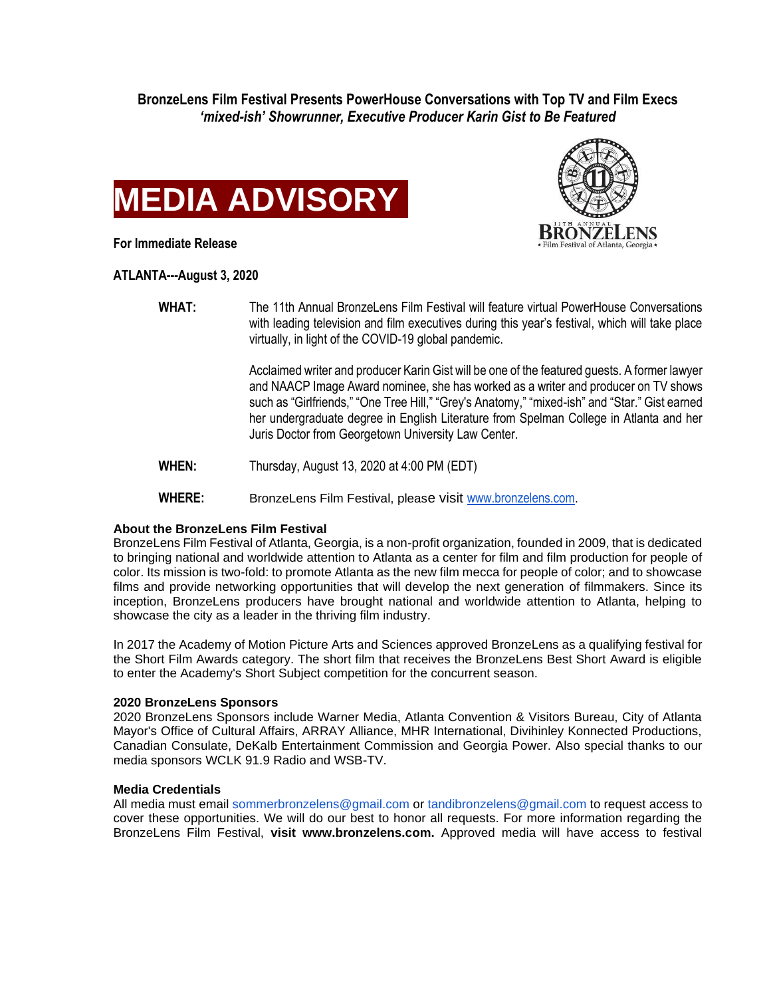**BronzeLens Film Festival Presents PowerHouse Conversations with Top TV and Film Execs** *'mixed-ish' Showrunner, Executive Producer Karin Gist to Be Featured*





**For Immediate Release**

**ATLANTA---August 3, 2020**

**WHAT:** The 11th Annual BronzeLens Film Festival will feature virtual PowerHouse Conversations with leading television and film executives during this year's festival, which will take place virtually, in light of the COVID-19 global pandemic.

> Acclaimed writer and producer Karin Gist will be one of the featured guests. A former lawyer and NAACP Image Award nominee, she has worked as a writer and producer on TV shows such as "Girlfriends," "One Tree Hill," "Grey's Anatomy," "mixed-ish" and "Star." Gist earned her undergraduate degree in English Literature from Spelman College in Atlanta and her Juris Doctor from Georgetown University Law Center.

**WHEN:** Thursday, August 13, 2020 at 4:00 PM (EDT)

**WHERE:** BronzeLens Film Festival, please visit [www.bronzelens.com.](http://www.bronzelens.com/)

## **About the BronzeLens Film Festival**

BronzeLens Film Festival of Atlanta, Georgia, is a non-profit organization, founded in 2009, that is dedicated to bringing national and worldwide attention to Atlanta as a center for film and film production for people of color. Its mission is two-fold: to promote Atlanta as the new film mecca for people of color; and to showcase films and provide networking opportunities that will develop the next generation of filmmakers. Since its inception, BronzeLens producers have brought national and worldwide attention to Atlanta, helping to showcase the city as a leader in the thriving film industry.

In 2017 the Academy of Motion Picture Arts and Sciences approved BronzeLens as a qualifying festival for the Short Film Awards category. The short film that receives the BronzeLens Best Short Award is eligible to enter the Academy's Short Subject competition for the concurrent season.

## **2020 BronzeLens Sponsors**

2020 BronzeLens Sponsors include Warner Media, Atlanta Convention & Visitors Bureau, City of Atlanta Mayor's Office of Cultural Affairs, ARRAY Alliance, MHR International, Divihinley Konnected Productions, Canadian Consulate, DeKalb Entertainment Commission and Georgia Power. Also special thanks to our media sponsors WCLK 91.9 Radio and WSB-TV.

## **Media Credentials**

All media must email sommerbronzelens@gmail.com or tandibronzelens@gmail.com to request access to cover these opportunities. We will do our best to honor all requests. For more information regarding the BronzeLens Film Festival, **visit www.bronzelens.com.** Approved media will have access to festival